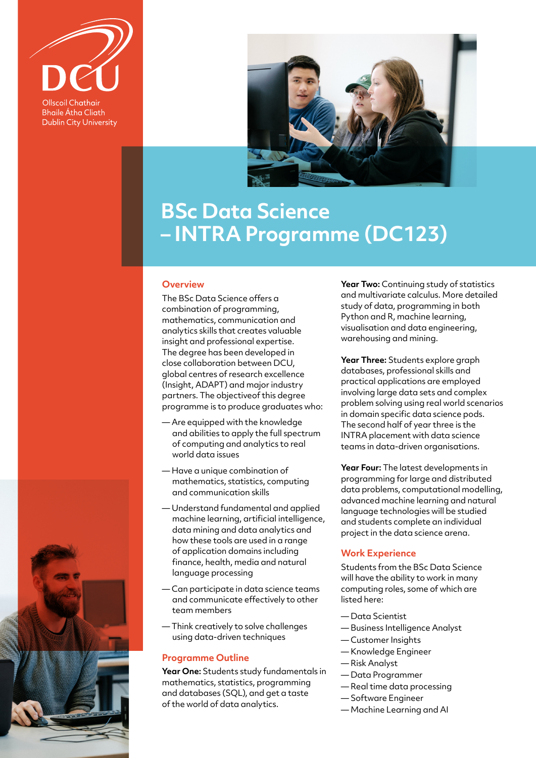

**Ollscoil Chathair Bhaile Átha Cliath Dublin City University** 



# **BSc Data Science – INTRA Programme (DC123)**

#### **Overview**

The BSc Data Science offers a combination of programming, mathematics, communication and analytics skills that creates valuable insight and professional expertise. The degree has been developed in close collaboration between DCU, global centres of research excellence (Insight, ADAPT) and major industry partners. The objectiveof this degree programme is to produce graduates who:

- Are equipped with the knowledge and abilities to apply the full spectrum of computing and analytics to real world data issues
- Have a unique combination of mathematics, statistics, computing and communication skills
- Understand fundamental and applied machine learning, artificial intelligence, data mining and data analytics and how these tools are used in a range of application domains including finance, health, media and natural language processing
- Can participate in data science teams and communicate effectively to other team members
- Think creatively to solve challenges using data-driven techniques

## **Programme Outline**

Year One: Students study fundamentals in mathematics, statistics, programming and databases (SQL), and get a taste of the world of data analytics.

**Year Two:** Continuing study of statistics and multivariate calculus. More detailed study of data, programming in both Python and R, machine learning, visualisation and data engineering, warehousing and mining.

**Year Three:** Students explore graph databases, professional skills and practical applications are employed involving large data sets and complex problem solving using real world scenarios in domain specific data science pods. The second half of year three is the INTRA placement with data science teams in data-driven organisations.

**Year Four:** The latest developments in programming for large and distributed data problems, computational modelling, advanced machine learning and natural language technologies will be studied and students complete an individual project in the data science arena.

#### **Work Experience**

Students from the BSc Data Science will have the ability to work in many computing roles, some of which are listed here:

- Data Scientist
- Business Intelligence Analyst
- Customer Insights
- Knowledge Engineer
- Risk Analyst
- Data Programmer
- Real time data processing
- Software Engineer
- Machine Learning and AI